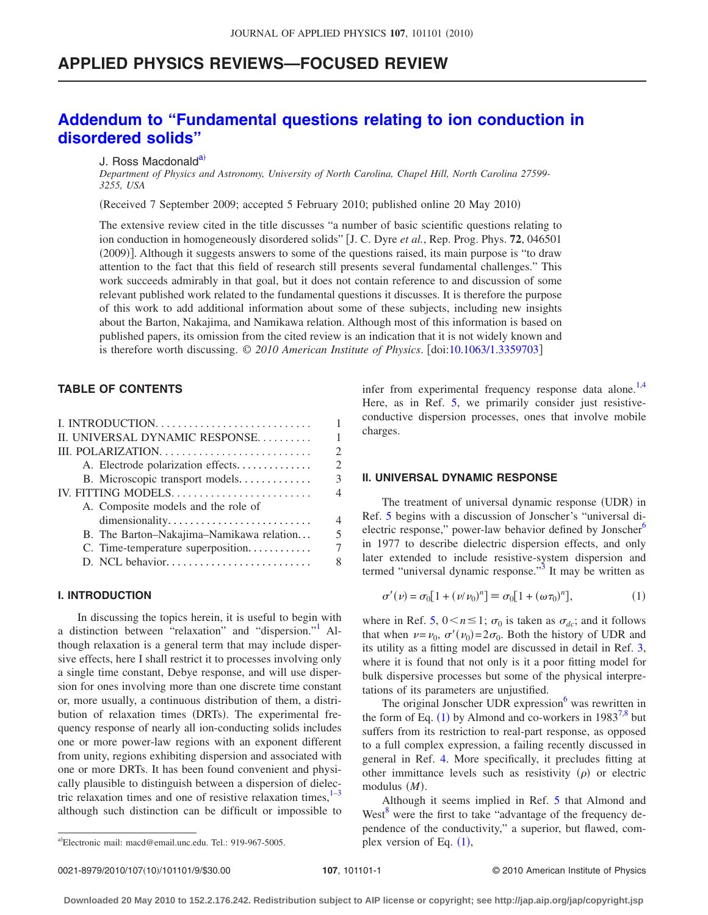## **APPLIED PHYSICS REVIEWS—FOCUSED REVIEW**

# **[Addendum to "Fundamental questions relating to ion conduction in](http://dx.doi.org/10.1063/1.3359703) [disordered solids"](http://dx.doi.org/10.1063/1.3359703)**

### J. Ross Macdonald<sup>a)</sup>

*Department of Physics and Astronomy, University of North Carolina, Chapel Hill, North Carolina 27599- 3255, USA*

(Received 7 September 2009; accepted 5 February 2010; published online 20 May 2010)

The extensive review cited in the title discusses "a number of basic scientific questions relating to ion conduction in homogeneously disordered solids" J. C. Dyre *et al.*, Rep. Prog. Phys. **72**, 046501 (2009)]. Although it suggests answers to some of the questions raised, its main purpose is "to draw attention to the fact that this field of research still presents several fundamental challenges." This work succeeds admirably in that goal, but it does not contain reference to and discussion of some relevant published work related to the fundamental questions it discusses. It is therefore the purpose of this work to add additional information about some of these subjects, including new insights about the Barton, Nakajima, and Namikawa relation. Although most of this information is based on published papers, its omission from the cited review is an indication that it is not widely known and is therefore worth discussing. © 2010 American Institute of Physics. [doi[:10.1063/1.3359703](http://dx.doi.org/10.1063/1.3359703)]

## **TABLE OF CONTENTS**

| II. UNIVERSAL DYNAMIC RESPONSE           | 1                                                                                                                                                               |
|------------------------------------------|-----------------------------------------------------------------------------------------------------------------------------------------------------------------|
|                                          | $\mathcal{D}$                                                                                                                                                   |
| A. Electrode polarization effects        | $\mathcal{D}_{\mathcal{L}}^{\mathcal{L}}(\mathcal{L})=\mathcal{L}_{\mathcal{L}}^{\mathcal{L}}(\mathcal{L})\mathcal{L}_{\mathcal{L}}^{\mathcal{L}}(\mathcal{L})$ |
| B. Microscopic transport models          | 3                                                                                                                                                               |
|                                          | $\overline{\mathcal{A}}$                                                                                                                                        |
| A. Composite models and the role of      |                                                                                                                                                                 |
| dimensionality                           | 4                                                                                                                                                               |
| B. The Barton-Nakajima-Namikawa relation | $\overline{\mathcal{L}}$                                                                                                                                        |
| C. Time-temperature superposition        | 7                                                                                                                                                               |
|                                          | 8                                                                                                                                                               |
|                                          |                                                                                                                                                                 |

## **I. INTRODUCTION**

In discussing the topics herein, it is useful to begin with a distinction between "relaxation" and "dispersion." Although relaxation is a general term that may include dispersive effects, here I shall restrict it to processes involving only a single time constant, Debye response, and will use dispersion for ones involving more than one discrete time constant or, more usually, a continuous distribution of them, a distribution of relaxation times (DRTs). The experimental frequency response of nearly all ion-conducting solids includes one or more power-law regions with an exponent different from unity, regions exhibiting dispersion and associated with one or more DRTs. It has been found convenient and physically plausible to distinguish between a dispersion of dielectric relaxation times and one of resistive relaxation times, $1-3$  $1-3$ although such distinction can be difficult or impossible to

infer from experimental frequency response data alone.<sup>1[,4](#page-7-2)</sup> Here, as in Ref. [5,](#page-7-3) we primarily consider just resistiveconductive dispersion processes, ones that involve mobile charges.

## **II. UNIVERSAL DYNAMIC RESPONSE**

The treatment of universal dynamic response (UDR) in Ref. [5](#page-7-3) begins with a discussion of Jonscher's "universal dielectric response," power-law behavior defined by Jonscher<sup>6</sup> in 1977 to describe dielectric dispersion effects, and only later extended to include resistive-system dispersion and termed "universal dynamic response."<sup>3</sup> It may be written as

<span id="page-0-0"></span>
$$
\sigma'(\nu) = \sigma_0[1 + (\nu/\nu_0)^n] \equiv \sigma_0[1 + (\omega \tau_0)^n], \tag{1}
$$

where in Ref. [5,](#page-7-3)  $0 \le n \le 1$ ;  $\sigma_0$  is taken as  $\sigma_{dc}$ ; and it follows that when  $\nu = \nu_0$ ,  $\sigma'(\nu_0) = 2\sigma_0$ . Both the history of UDR and its utility as a fitting model are discussed in detail in Ref. [3,](#page-7-1) where it is found that not only is it a poor fitting model for bulk dispersive processes but some of the physical interpretations of its parameters are unjustified.

The original Jonscher UDR expression<sup>6</sup> was rewritten in the form of Eq.  $(1)$  $(1)$  $(1)$  by Almond and co-workers in 1983<sup>7[,8](#page-7-6)</sup> but suffers from its restriction to real-part response, as opposed to a full complex expression, a failing recently discussed in general in Ref. [4.](#page-7-2) More specifically, it precludes fitting at other immittance levels such as resistivity  $(\rho)$  or electric modulus (M).

Although it seems implied in Ref. [5](#page-7-3) that Almond and West<sup>[8](#page-7-6)</sup> were the first to take "advantage of the frequency dependence of the conductivity," a superior, but flawed, complex version of Eq.  $(1)$  $(1)$  $(1)$ ,

a)Electronic mail: macd@email.unc.edu. Tel.: 919-967-5005.  $\qquad \qquad$  plex version of Eq. (1),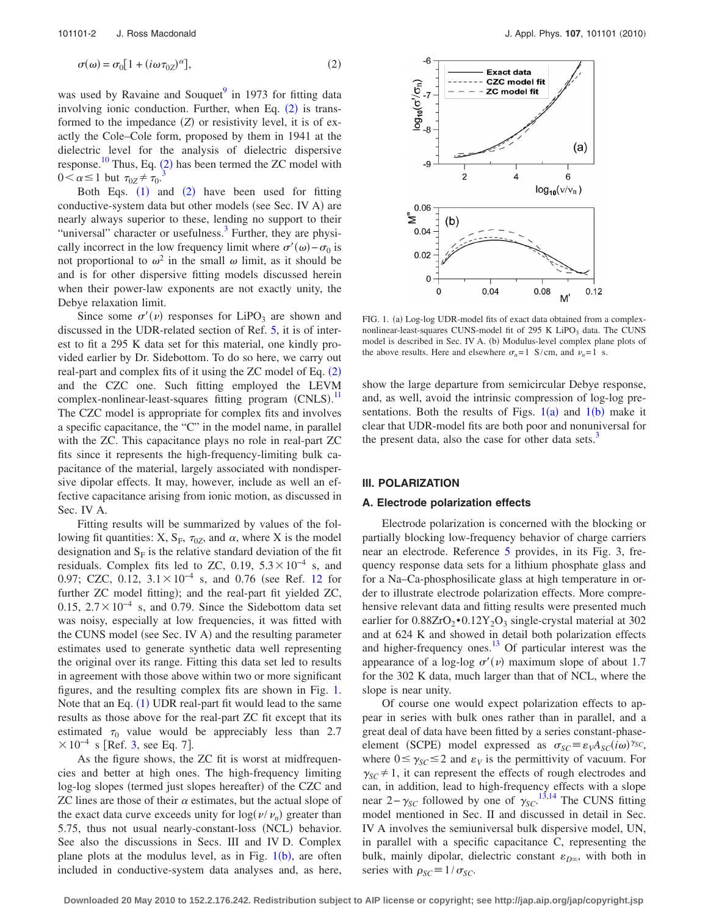<span id="page-1-0"></span>
$$
\sigma(\omega) = \sigma_0 \left[ 1 + (i\omega \tau_{0Z})^{\alpha} \right],\tag{2}
$$

was used by Ravaine and Souquet $9$  in 1973 for fitting data involving ionic conduction. Further, when Eq.  $(2)$  $(2)$  $(2)$  is transformed to the impedance (Z) or resistivity level, it is of exactly the Cole–Cole form, proposed by them in 1941 at the dielectric level for the analysis of dielectric dispersive response.<sup>[10](#page-7-8)</sup> Thus, Eq. ([2](#page-1-0)) has been termed the ZC model with  $0 < \alpha \leq 1$  but  $\tau_{0Z} \neq \tau_0$ .

Both Eqs.  $(1)$  $(1)$  $(1)$  and  $(2)$  $(2)$  $(2)$  have been used for fitting conductive-system data but other models (see Sec. IV A) are nearly always superior to these, lending no support to their "universal" character or usefulness.<sup>3</sup> Further, they are physically incorrect in the low frequency limit where  $\sigma'(\omega) - \sigma_0$  is not proportional to  $\omega^2$  in the small  $\omega$  limit, as it should be and is for other dispersive fitting models discussed herein when their power-law exponents are not exactly unity, the Debye relaxation limit.

Since some  $\sigma'(\nu)$  responses for LiPO<sub>3</sub> are shown and discussed in the UDR-related section of Ref. [5,](#page-7-3) it is of interest to fit a 295 K data set for this material, one kindly provided earlier by Dr. Sidebottom. To do so here, we carry out real-part and complex fits of it using the ZC model of Eq. ([2](#page-1-0)) and the CZC one. Such fitting employed the LEVM complex-nonlinear-least-squares fitting program (CNLS).<sup>[11](#page-7-9)</sup> The CZC model is appropriate for complex fits and involves a specific capacitance, the "C" in the model name, in parallel with the ZC. This capacitance plays no role in real-part ZC fits since it represents the high-frequency-limiting bulk capacitance of the material, largely associated with nondispersive dipolar effects. It may, however, include as well an effective capacitance arising from ionic motion, as discussed in Sec. IV A.

Fitting results will be summarized by values of the following fit quantities: X,  $S_F$ ,  $\tau_{0Z}$ , and  $\alpha$ , where X is the model designation and  $S_F$  is the relative standard deviation of the fit residuals. Complex fits led to ZC, 0.19,  $5.3 \times 10^{-4}$  s, and 0.97; CZC, 0.[12](#page-7-10),  $3.1 \times 10^{-4}$  s, and 0.76 (see Ref. 12 for further ZC model fitting); and the real-part fit yielded ZC, 0.15,  $2.7 \times 10^{-4}$  s, and 0.79. Since the Sidebottom data set was noisy, especially at low frequencies, it was fitted with the CUNS model (see Sec. IV A) and the resulting parameter estimates used to generate synthetic data well representing the original over its range. Fitting this data set led to results in agreement with those above within two or more significant figures, and the resulting complex fits are shown in Fig. [1.](#page-1-1) Note that an Eq.  $(1)$  $(1)$  $(1)$  UDR real-part fit would lead to the same results as those above for the real-part ZC fit except that its estimated  $\tau_0$  value would be appreciably less than 2.7  $\times 10^{-4}$  s [Ref. [3,](#page-7-1) see Eq. 7].

As the figure shows, the ZC fit is worst at midfrequencies and better at high ones. The high-frequency limiting log-log slopes (termed just slopes hereafter) of the CZC and ZC lines are those of their  $\alpha$  estimates, but the actual slope of the exact data curve exceeds unity for  $log(\nu/\nu_n)$  greater than 5.75, thus not usual nearly-constant-loss (NCL) behavior. See also the discussions in Secs. III and IV D. Complex plane plots at the modulus level, as in Fig.  $1(b)$  $1(b)$ , are often included in conductive-system data analyses and, as here,

<span id="page-1-1"></span>

FIG. 1. (a) Log-log UDR-model fits of exact data obtained from a complexnonlinear-least-squares CUNS-model fit of  $295$  K LiPO<sub>3</sub> data. The CUNS model is described in Sec. IV A. (b) Modulus-level complex plane plots of the above results. Here and elsewhere  $\sigma_n = 1$  S/cm, and  $\nu_n = 1$  s.

show the large departure from semicircular Debye response, and, as well, avoid the intrinsic compression of log-log presentations. Both the results of Figs.  $1(a)$  $1(a)$  and  $1(b)$  make it clear that UDR-model fits are both poor and nonuniversal for the present data, also the case for other data sets.<sup>3</sup>

## **III. POLARIZATION**

### **A. Electrode polarization effects**

Electrode polarization is concerned with the blocking or partially blocking low-frequency behavior of charge carriers near an electrode. Reference [5](#page-7-3) provides, in its Fig. 3, frequency response data sets for a lithium phosphate glass and for a Na–Ca-phosphosilicate glass at high temperature in order to illustrate electrode polarization effects. More comprehensive relevant data and fitting results were presented much earlier for  $0.88ZrO<sub>2</sub> \cdot 0.12Y<sub>2</sub>O<sub>3</sub>$  single-crystal material at 302 and at 624 K and showed in detail both polarization effects and higher-frequency ones. $^{13}$  Of particular interest was the appearance of a log-log  $\sigma'(\nu)$  maximum slope of about 1.7 for the 302 K data, much larger than that of NCL, where the slope is near unity.

Of course one would expect polarization effects to appear in series with bulk ones rather than in parallel, and a great deal of data have been fitted by a series constant-phaseelement (SCPE) model expressed as  $\sigma_{SC} \equiv \varepsilon_V A_{SC} (i\omega)^{\gamma_{SC}}$ , where  $0 \le \gamma_{SC} \le 2$  and  $\varepsilon_V$  is the permittivity of vacuum. For  $\gamma_{SC} \neq 1$ , it can represent the effects of rough electrodes and can, in addition, lead to high-frequency effects with a slope near 2− $\gamma_{SC}$  followed by one of  $\gamma_{SC}$ .<sup>[13,](#page-7-11)[14](#page-8-0)</sup> The CUNS fitting model mentioned in Sec. II and discussed in detail in Sec. IV A involves the semiuniversal bulk dispersive model, UN, in parallel with a specific capacitance C, representing the bulk, mainly dipolar, dielectric constant  $\varepsilon_{D^\infty}$ , with both in series with  $\rho_{SC} \equiv 1/\sigma_{SC}$ .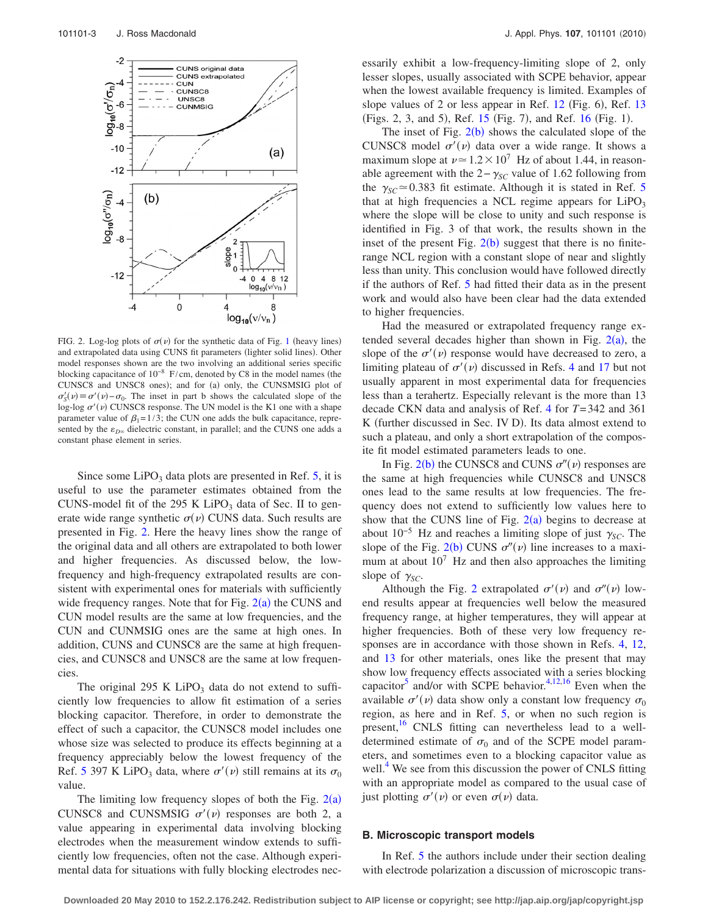<span id="page-2-0"></span>

FIG. 2. Log-log plots of  $\sigma(\nu)$  for the synthetic data of Fig. [1](#page-1-1) (heavy lines) and extrapolated data using CUNS fit parameters (lighter solid lines). Other model responses shown are the two involving an additional series specific blocking capacitance of  $10^{-8}$  F/cm, denoted by C8 in the model names (the CUNSC8 and UNSC8 ones); and for (a) only, the CUNSMSIG plot of  $\sigma'_{S}(v) \equiv \sigma'(v) - \sigma_0$ . The inset in part b shows the calculated slope of the log-log  $\sigma'(\nu)$  CUNSC8 response. The UN model is the K1 one with a shape parameter value of  $\beta_1 = 1/3$ ; the CUN one adds the bulk capacitance, represented by the  $\varepsilon_{D^\infty}$  dielectric constant, in parallel; and the CUNS one adds a constant phase element in series.

Since some  $LiPO<sub>3</sub>$  data plots are presented in Ref. [5,](#page-7-3) it is useful to use the parameter estimates obtained from the CUNS-model fit of the 295 K LiPO<sub>3</sub> data of Sec. II to generate wide range synthetic  $\sigma(\nu)$  CUNS data. Such results are presented in Fig. [2.](#page-2-0) Here the heavy lines show the range of the original data and all others are extrapolated to both lower and higher frequencies. As discussed below, the lowfrequency and high-frequency extrapolated results are consistent with experimental ones for materials with sufficiently wide frequency ranges. Note that for Fig.  $2(a)$  $2(a)$  the CUNS and CUN model results are the same at low frequencies, and the CUN and CUNMSIG ones are the same at high ones. In addition, CUNS and CUNSC8 are the same at high frequencies, and CUNSC8 and UNSC8 are the same at low frequencies.

The original 295 K LiPO<sub>3</sub> data do not extend to sufficiently low frequencies to allow fit estimation of a series blocking capacitor. Therefore, in order to demonstrate the effect of such a capacitor, the CUNSC8 model includes one whose size was selected to produce its effects beginning at a frequency appreciably below the lowest frequency of the Ref. [5](#page-7-3) 397 K LiPO<sub>3</sub> data, where  $\sigma'(\nu)$  still remains at its  $\sigma_0$ value.

The limiting low frequency slopes of both the Fig.  $2(a)$  $2(a)$ CUNSC8 and CUNSMSIG  $\sigma'(v)$  responses are both 2, a value appearing in experimental data involving blocking electrodes when the measurement window extends to sufficiently low frequencies, often not the case. Although experimental data for situations with fully blocking electrodes necessarily exhibit a low-frequency-limiting slope of 2, only lesser slopes, usually associated with SCPE behavior, appear when the lowest available frequency is limited. Examples of slope values of 2 or less appear in Ref. [12](#page-7-10) (Fig. 6), Ref. [13](#page-7-11) (Figs. 2, 3, and 5), Ref. [15](#page-8-1) (Fig. 7), and Ref. [16](#page-8-2) (Fig. 1).

The inset of Fig.  $2(b)$  $2(b)$  shows the calculated slope of the CUNSC8 model  $\sigma'(v)$  data over a wide range. It shows a maximum slope at  $\nu \approx 1.2 \times 10^7$  Hz of about 1.44, in reasonable agreement with the  $2−γ<sub>SC</sub>$  value of 1.62 following from the  $\gamma_{SC} \approx 0.383$  fit estimate. Although it is stated in Ref. [5](#page-7-3) that at high frequencies a NCL regime appears for  $LiPO<sub>3</sub>$ where the slope will be close to unity and such response is identified in Fig. 3 of that work, the results shown in the inset of the present Fig.  $2(b)$  $2(b)$  suggest that there is no finiterange NCL region with a constant slope of near and slightly less than unity. This conclusion would have followed directly if the authors of Ref. [5](#page-7-3) had fitted their data as in the present work and would also have been clear had the data extended to higher frequencies.

Had the measured or extrapolated frequency range extended several decades higher than shown in Fig.  $2(a)$  $2(a)$ , the slope of the  $\sigma'(\nu)$  response would have decreased to zero, a limiting plateau of  $\sigma'(\nu)$  discussed in Refs. [4](#page-7-2) and [17](#page-8-3) but not usually apparent in most experimental data for frequencies less than a terahertz. Especially relevant is the more than 13 decade CKN data and analysis of Ref. [4](#page-7-2) for *T*=342 and 361 K (further discussed in Sec. IV D). Its data almost extend to such a plateau, and only a short extrapolation of the composite fit model estimated parameters leads to one.

In Fig.  $2(b)$  $2(b)$  the CUNSC8 and CUNS  $\sigma''(v)$  responses are the same at high frequencies while CUNSC8 and UNSC8 ones lead to the same results at low frequencies. The frequency does not extend to sufficiently low values here to show that the CUNS line of Fig.  $2(a)$  $2(a)$  begins to decrease at about  $10^{-5}$  Hz and reaches a limiting slope of just  $\gamma_{SC}$ . The slope of the Fig. [2](#page-2-0)(b) CUNS  $\sigma''(v)$  line increases to a maximum at about  $10^7$  Hz and then also approaches the limiting slope of  $\gamma_{SC}$ .

Although the Fig. [2](#page-2-0) extrapolated  $\sigma'(v)$  and  $\sigma''(v)$  lowend results appear at frequencies well below the measured frequency range, at higher temperatures, they will appear at higher frequencies. Both of these very low frequency responses are in accordance with those shown in Refs. [4,](#page-7-2) [12,](#page-7-10) and [13](#page-7-11) for other materials, ones like the present that may show low frequency effects associated with a series blocking capacitor<sup>5</sup> and/or with SCPE behavior.<sup>4,[12](#page-7-10)[,16](#page-8-2)</sup> Even when the available  $\sigma'(\nu)$  data show only a constant low frequency  $\sigma_0$ region, as here and in Ref. [5,](#page-7-3) or when no such region is present,<sup>16</sup> CNLS fitting can nevertheless lead to a welldetermined estimate of  $\sigma_0$  and of the SCPE model parameters, and sometimes even to a blocking capacitor value as well.<sup>4</sup> We see from this discussion the power of CNLS fitting with an appropriate model as compared to the usual case of just plotting  $\sigma'(\nu)$  or even  $\sigma(\nu)$  data.

#### **B. Microscopic transport models**

In Ref. [5](#page-7-3) the authors include under their section dealing with electrode polarization a discussion of microscopic trans-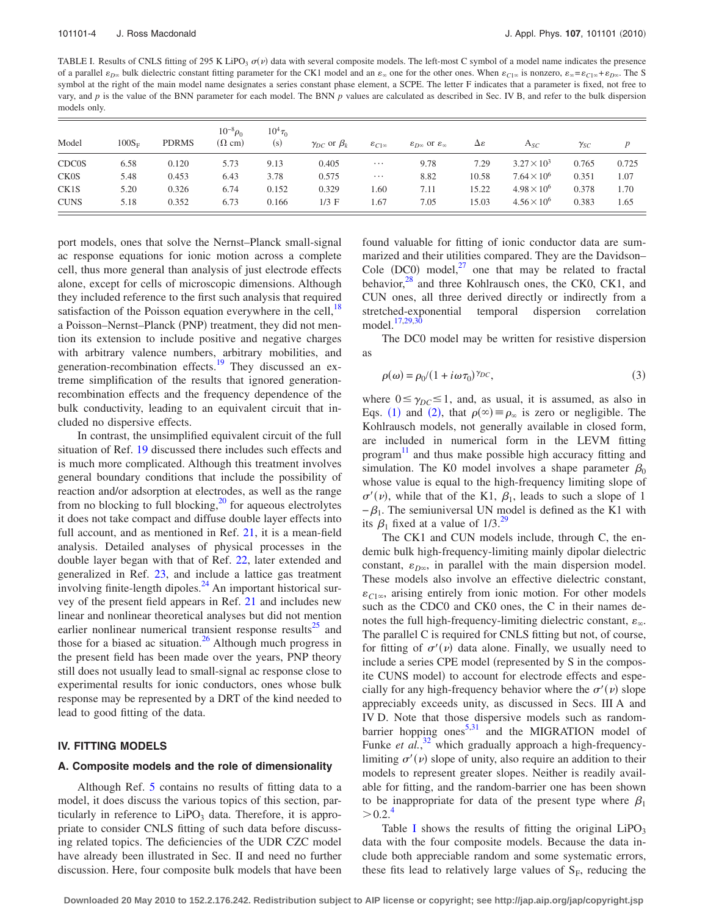<span id="page-3-0"></span>TABLE I. Results of CNLS fitting of 295 K LiPO<sub>3</sub>  $\sigma(\nu)$  data with several composite models. The left-most C symbol of a model name indicates the presence of a parallel  $\varepsilon_{D\infty}$  bulk dielectric constant fitting parameter for the CK1 model and an  $\varepsilon_{\infty}$  one for the other ones. When  $\varepsilon_{C1\infty}$  is nonzero,  $\varepsilon_{\infty} = \varepsilon_{C1\infty} + \varepsilon_{D\infty}$ . The S symbol at the right of the main model name designates a series constant phase element, a SCPE. The letter F indicates that a parameter is fixed, not free to vary, and *p* is the value of the BNN parameter for each model. The BNN *p* values are calculated as described in Sec. IV B, and refer to the bulk dispersion models only.

| Model        | $100S_F$ | <b>PDRMS</b> | $10^{-8} \rho_0$<br>$(\Omega \text{ cm})$ | $10^{4} \tau_0$<br>(s) | $\gamma_{DC}$ or $\beta_k$ | $\varepsilon_{C1\infty}$ | $\varepsilon_{D\infty}$ or $\varepsilon_{\infty}$ | Δε    | $A_{SC}$             | $\gamma_{SC}$ | p     |
|--------------|----------|--------------|-------------------------------------------|------------------------|----------------------------|--------------------------|---------------------------------------------------|-------|----------------------|---------------|-------|
| <b>CDC0S</b> | 6.58     | 0.120        | 5.73                                      | 9.13                   | 0.405                      | $\cdots$                 | 9.78                                              | 7.29  | $3.27 \times 10^3$   | 0.765         | 0.725 |
| <b>CK0S</b>  | 5.48     | 0.453        | 6.43                                      | 3.78                   | 0.575                      | $\cdots$                 | 8.82                                              | 10.58 | $7.64 \times 10^{6}$ | 0.351         | 1.07  |
| CK1S         | 5.20     | 0.326        | 6.74                                      | 0.152                  | 0.329                      | 1.60                     | 7.11                                              | 15.22 | $4.98 \times 10^{6}$ | 0.378         | 1.70  |
| <b>CUNS</b>  | 5.18     | 0.352        | 6.73                                      | 0.166                  | $1/3$ F                    | 1.67                     | 7.05                                              | 15.03 | $4.56 \times 10^{6}$ | 0.383         | 1.65  |

port models, ones that solve the Nernst–Planck small-signal ac response equations for ionic motion across a complete cell, thus more general than analysis of just electrode effects alone, except for cells of microscopic dimensions. Although they included reference to the first such analysis that required satisfaction of the Poisson equation everywhere in the cell, $^{18}$ a Poisson-Nernst-Planck (PNP) treatment, they did not mention its extension to include positive and negative charges with arbitrary valence numbers, arbitrary mobilities, and generation-recombination effects.<sup>19</sup> They discussed an extreme simplification of the results that ignored generationrecombination effects and the frequency dependence of the bulk conductivity, leading to an equivalent circuit that included no dispersive effects.

In contrast, the unsimplified equivalent circuit of the full situation of Ref. [19](#page-8-5) discussed there includes such effects and is much more complicated. Although this treatment involves general boundary conditions that include the possibility of reaction and/or adsorption at electrodes, as well as the range from no blocking to full blocking, $^{20}$  for aqueous electrolytes it does not take compact and diffuse double layer effects into full account, and as mentioned in Ref. [21,](#page-8-7) it is a mean-field analysis. Detailed analyses of physical processes in the double layer began with that of Ref. [22,](#page-8-8) later extended and generalized in Ref. [23,](#page-8-9) and include a lattice gas treatment involving finite-length dipoles. $^{24}$  An important historical survey of the present field appears in Ref. [21](#page-8-7) and includes new linear and nonlinear theoretical analyses but did not mention earlier nonlinear numerical transient response results $^{25}$  and those for a biased ac situation.<sup>26</sup> Although much progress in the present field has been made over the years, PNP theory still does not usually lead to small-signal ac response close to experimental results for ionic conductors, ones whose bulk response may be represented by a DRT of the kind needed to lead to good fitting of the data.

## **IV. FITTING MODELS**

#### **A. Composite models and the role of dimensionality**

Although Ref. [5](#page-7-3) contains no results of fitting data to a model, it does discuss the various topics of this section, particularly in reference to  $LiPO<sub>3</sub>$  data. Therefore, it is appropriate to consider CNLS fitting of such data before discussing related topics. The deficiencies of the UDR CZC model have already been illustrated in Sec. II and need no further discussion. Here, four composite bulk models that have been found valuable for fitting of ionic conductor data are summarized and their utilities compared. They are the Davidson– Cole (DC0) model, $^{27}$  one that may be related to fractal behavior, $^{28}$  and three Kohlrausch ones, the CK0, CK1, and CUN ones, all three derived directly or indirectly from a stretched-exponential temporal dispersion correlation model.<sup>17,[29](#page-8-15)[,30](#page-8-16)</sup>

The DC0 model may be written for resistive dispersion as

$$
\rho(\omega) = \rho_0/(1 + i\omega \tau_0)^{\gamma_{DC}},\tag{3}
$$

where  $0 \le \gamma_{DC} \le 1$ , and, as usual, it is assumed, as also in Eqs. ([1](#page-0-0)) and ([2](#page-1-0)), that  $\rho(\infty) \equiv \rho_{\infty}$  is zero or negligible. The Kohlrausch models, not generally available in closed form, are included in numerical form in the LEVM fitting program<sup>[11](#page-7-9)</sup> and thus make possible high accuracy fitting and simulation. The K0 model involves a shape parameter  $\beta_0$ whose value is equal to the high-frequency limiting slope of  $\sigma'(\nu)$ , while that of the K1,  $\beta_1$ , leads to such a slope of 1  $-\beta_1$ . The semiuniversal UN model is defined as the K1 with its  $\beta_1$  fixed at a value of 1/3.<sup>29</sup>

The CK1 and CUN models include, through C, the endemic bulk high-frequency-limiting mainly dipolar dielectric constant,  $\varepsilon_{D\infty}$ , in parallel with the main dispersion model. These models also involve an effective dielectric constant,  $\varepsilon_{C1\infty}$ , arising entirely from ionic motion. For other models such as the CDC0 and CK0 ones, the C in their names denotes the full high-frequency-limiting dielectric constant,  $\varepsilon_{\infty}$ . The parallel C is required for CNLS fitting but not, of course, for fitting of  $\sigma'(\nu)$  data alone. Finally, we usually need to include a series CPE model (represented by S in the composite CUNS model) to account for electrode effects and especially for any high-frequency behavior where the  $\sigma'(\nu)$  slope appreciably exceeds unity, as discussed in Secs. III A and IV D. Note that those dispersive models such as randombarrier hopping ones $5,31$  $5,31$  and the MIGRATION model of Funke *et al.*,<sup>[32](#page-8-18)</sup> which gradually approach a high-frequencylimiting  $\sigma'(\nu)$  slope of unity, also require an addition to their models to represent greater slopes. Neither is readily available for fitting, and the random-barrier one has been shown to be inappropriate for data of the present type where  $\beta_1$  $> 0.2^{4}$ 

Table [I](#page-3-0) shows the results of fitting the original  $LiPO<sub>3</sub>$ data with the four composite models. Because the data include both appreciable random and some systematic errors, these fits lead to relatively large values of  $S_F$ , reducing the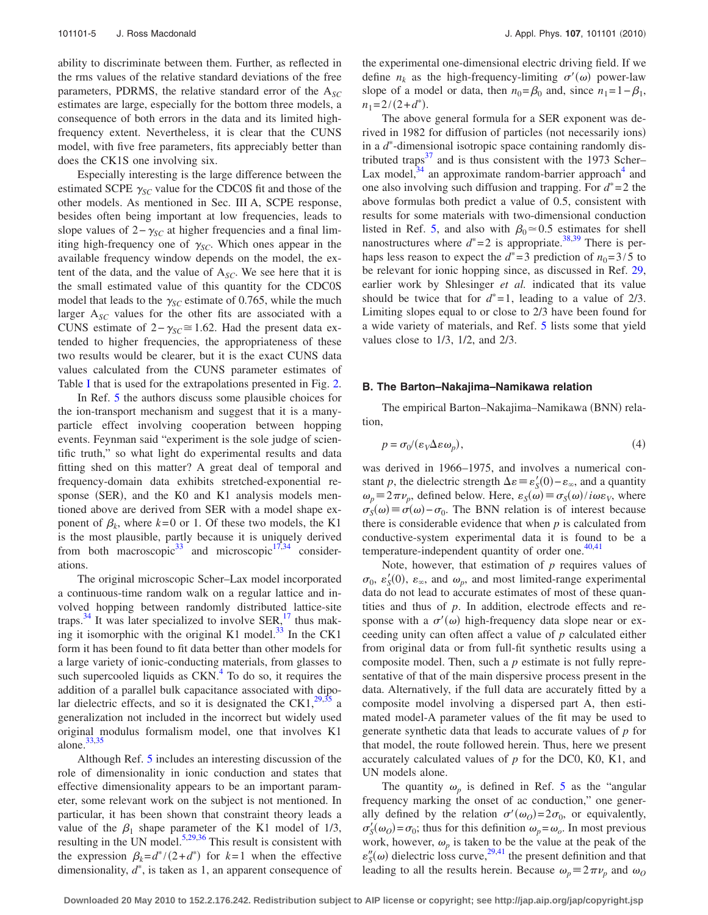ability to discriminate between them. Further, as reflected in the rms values of the relative standard deviations of the free parameters, PDRMS, the relative standard error of the  $A_{SC}$ estimates are large, especially for the bottom three models, a consequence of both errors in the data and its limited highfrequency extent. Nevertheless, it is clear that the CUNS model, with five free parameters, fits appreciably better than does the CK1S one involving six.

Especially interesting is the large difference between the estimated SCPE  $\gamma_{SC}$  value for the CDC0S fit and those of the other models. As mentioned in Sec. III A, SCPE response, besides often being important at low frequencies, leads to slope values of  $2 - \gamma_{SC}$  at higher frequencies and a final limiting high-frequency one of  $\gamma_{SC}$ . Which ones appear in the available frequency window depends on the model, the extent of the data, and the value of A*SC*. We see here that it is the small estimated value of this quantity for the CDC0S model that leads to the  $\gamma_{SC}$  estimate of 0.765, while the much larger A<sub>SC</sub> values for the other fits are associated with a CUNS estimate of  $2 - \gamma_{SC} \approx 1.62$ . Had the present data extended to higher frequencies, the appropriateness of these two results would be clearer, but it is the exact CUNS data values calculated from the CUNS parameter estimates of Table [I](#page-3-0) that is used for the extrapolations presented in Fig. [2.](#page-2-0)

In Ref. [5](#page-7-3) the authors discuss some plausible choices for the ion-transport mechanism and suggest that it is a manyparticle effect involving cooperation between hopping events. Feynman said "experiment is the sole judge of scientific truth," so what light do experimental results and data fitting shed on this matter? A great deal of temporal and frequency-domain data exhibits stretched-exponential response (SER), and the K0 and K1 analysis models mentioned above are derived from SER with a model shape exponent of  $\beta_k$ , where  $k=0$  or 1. Of these two models, the K1 is the most plausible, partly because it is uniquely derived from both macroscopic<sup>33</sup> and microscopic<sup>17,[34](#page-8-20)</sup> considerations.

The original microscopic Scher–Lax model incorporated a continuous-time random walk on a regular lattice and involved hopping between randomly distributed lattice-site traps. $34$  It was later specialized to involve SER,<sup>17</sup> thus making it isomorphic with the original K1 model.<sup>33</sup> In the CK1 form it has been found to fit data better than other models for a large variety of ionic-conducting materials, from glasses to such supercooled liquids as  $CKN<sup>4</sup>$  To do so, it requires the addition of a parallel bulk capacitance associated with dipolar dielectric effects, and so it is designated the CK1, $^{29,35}$  $^{29,35}$  $^{29,35}$  a generalization not included in the incorrect but widely used original modulus formalism model, one that involves K1 alone. $33,35$  $33,35$ 

Although Ref. [5](#page-7-3) includes an interesting discussion of the role of dimensionality in ionic conduction and states that effective dimensionality appears to be an important parameter, some relevant work on the subject is not mentioned. In particular, it has been shown that constraint theory leads a value of the  $\beta_1$  shape parameter of the K1 model of 1/3, resulting in the UN model.<sup>5,[29,](#page-8-15)[36](#page-8-22)</sup> This result is consistent with the expression  $\beta_k = d^*/(2+d^*)$  for  $k=1$  when the effective dimensionality,  $d^*$ , is taken as 1, an apparent consequence of

the experimental one-dimensional electric driving field. If we define  $n_k$  as the high-frequency-limiting  $\sigma'(\omega)$  power-law slope of a model or data, then  $n_0 = \beta_0$  and, since  $n_1 = 1 - \beta_1$ ,  $n_1 = 2/(2+d^*)$ .

The above general formula for a SER exponent was derived in 1982 for diffusion of particles (not necessarily ions) in a  $d^*$ -dimensional isotropic space containing randomly distributed traps $37$  and is thus consistent with the 1973 Scher– Lax model, $34$  an approximate random-barrier approach<sup>4</sup> and one also involving such diffusion and trapping. For  $d^* = 2$  the above formulas both predict a value of 0.5, consistent with results for some materials with two-dimensional conduction listed in Ref. [5,](#page-7-3) and also with  $\beta_0 \approx 0.5$  estimates for shell nanostructures where  $d^*=2$  is appropriate.<sup>38[,39](#page-8-25)</sup> There is perhaps less reason to expect the  $d^* = 3$  prediction of  $n_0 = 3/5$  to be relevant for ionic hopping since, as discussed in Ref. [29,](#page-8-15) earlier work by Shlesinger *et al.* indicated that its value should be twice that for  $d^*=1$ , leading to a value of 2/3. Limiting slopes equal to or close to 2/3 have been found for a wide variety of materials, and Ref. [5](#page-7-3) lists some that yield values close to 1/3, 1/2, and 2/3.

## **B. The Barton–Nakajima–Namikawa relation**

The empirical Barton-Nakajima-Namikawa (BNN) relation,

$$
p = \sigma_0 / (\varepsilon_V \Delta \varepsilon \omega_p), \tag{4}
$$

was derived in 1966–1975, and involves a numerical constant *p*, the dielectric strength  $\Delta \varepsilon \equiv \varepsilon'_{S}(0) - \varepsilon_{\infty}$ , and a quantity  $\omega_p \equiv 2\pi \nu_p$ , defined below. Here,  $\varepsilon_s(\omega) \equiv \sigma_s(\omega) / i \omega \varepsilon_v$ , where  $\sigma_S(\omega) \equiv \sigma(\omega) - \sigma_0$ . The BNN relation is of interest because there is considerable evidence that when *p* is calculated from conductive-system experimental data it is found to be a temperature-independent quantity of order one. $40,41$  $40,41$ 

Note, however, that estimation of *p* requires values of  $\sigma_0$ ,  $\varepsilon'_{\mathcal{S}}(0)$ ,  $\varepsilon_{\infty}$ , and  $\omega_p$ , and most limited-range experimental data do not lead to accurate estimates of most of these quantities and thus of *p*. In addition, electrode effects and response with a  $\sigma'(\omega)$  high-frequency data slope near or exceeding unity can often affect a value of *p* calculated either from original data or from full-fit synthetic results using a composite model. Then, such a *p* estimate is not fully representative of that of the main dispersive process present in the data. Alternatively, if the full data are accurately fitted by a composite model involving a dispersed part A, then estimated model-A parameter values of the fit may be used to generate synthetic data that leads to accurate values of *p* for that model, the route followed herein. Thus, here we present accurately calculated values of *p* for the DC0, K0, K1, and UN models alone.

The quantity  $\omega_p$  is defined in Ref. [5](#page-7-3) as the "angular" frequency marking the onset of ac conduction," one generally defined by the relation  $\sigma'(\omega_0) = 2\sigma_0$ , or equivalently,  $\sigma'_{S}(\omega_{O}) = \sigma_{0}$ ; thus for this definition  $\omega_{p} = \omega_{o}$ . In most previous work, however,  $\omega_p$  is taken to be the value at the peak of the  $\varepsilon''_S(\omega)$  dielectric loss curve,<sup>29[,41](#page-8-27)</sup> the present definition and that leading to all the results herein. Because  $\omega_p = 2\pi \nu_p$  and  $\omega_0$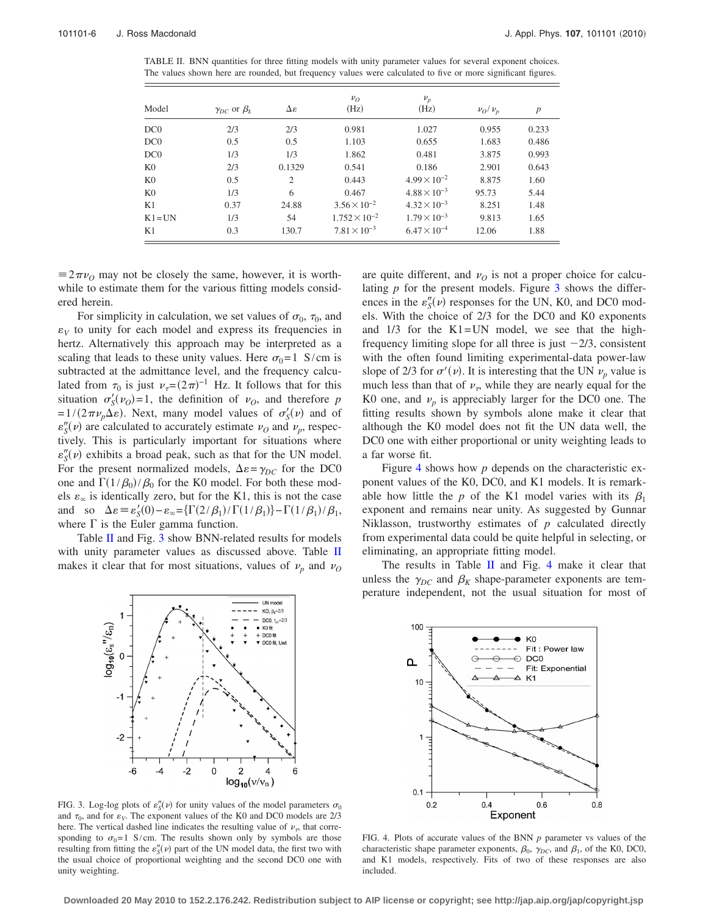<span id="page-5-0"></span>TABLE II. BNN quantities for three fitting models with unity parameter values for several exponent choices. The values shown here are rounded, but frequency values were calculated to five or more significant figures.

| Model          | $\gamma_{DC}$ or $\beta_k$ | Δε     | $v_{O}$<br>(Hz)        | $\nu_p$<br>(Hz)       | $\nu_O/\nu_p$ | $\boldsymbol{p}$ |
|----------------|----------------------------|--------|------------------------|-----------------------|---------------|------------------|
| DC0            | 2/3                        | 2/3    | 0.981                  | 1.027                 | 0.955         | 0.233            |
| DC0            | 0.5                        | 0.5    | 1.103                  | 0.655                 | 1.683         | 0.486            |
| DC0            | 1/3                        | 1/3    | 1.862                  | 0.481                 | 3.875         | 0.993            |
| K <sub>0</sub> | 2/3                        | 0.1329 | 0.541                  | 0.186                 | 2.901         | 0.643            |
| K <sub>0</sub> | 0.5                        | 2      | 0.443                  | $4.99 \times 10^{-2}$ | 8.875         | 1.60             |
| K <sub>0</sub> | 1/3                        | 6      | 0.467                  | $4.88 \times 10^{-3}$ | 95.73         | 5.44             |
| K1             | 0.37                       | 24.88  | $3.56 \times 10^{-2}$  | $4.32 \times 10^{-3}$ | 8.251         | 1.48             |
| $K1 = UN$      | 1/3                        | 54     | $1.752 \times 10^{-2}$ | $1.79 \times 10^{-3}$ | 9.813         | 1.65             |
| K1             | 0.3                        | 130.7  | $7.81 \times 10^{-3}$  | $6.47 \times 10^{-4}$ | 12.06         | 1.88             |

 $\equiv 2\pi\nu$ <sub>O</sub> may not be closely the same, however, it is worthwhile to estimate them for the various fitting models considered herein.

For simplicity in calculation, we set values of  $\sigma_0$ ,  $\tau_0$ , and  $\varepsilon_V$  to unity for each model and express its frequencies in hertz. Alternatively this approach may be interpreted as a scaling that leads to these unity values. Here  $\sigma_0=1$  S/cm is subtracted at the admittance level, and the frequency calculated from  $\tau_0$  is just  $\nu_{\tau} = (2\pi)^{-1}$  Hz. It follows that for this situation  $\sigma'_{S}(v_{O}) = 1$ , the definition of  $v_{O}$ , and therefore *p*  $=1/(2\pi\nu_p\Delta\varepsilon)$ . Next, many model values of  $\sigma'_{S}(\nu)$  and of  $\varepsilon''_S(v)$  are calculated to accurately estimate  $\nu_O$  and  $\nu_P$ , respectively. This is particularly important for situations where  $\varepsilon''_S(v)$  exhibits a broad peak, such as that for the UN model. For the present normalized models,  $\Delta \varepsilon = \gamma_{DC}$  for the DC0 one and  $\Gamma(1/\beta_0)/\beta_0$  for the K0 model. For both these models  $\varepsilon_{\infty}$  is identically zero, but for the K1, this is not the case and so  $\Delta \varepsilon = \varepsilon_S'(0) - \varepsilon_\infty = \left\{ \Gamma(2/\beta_1) / \Gamma(1/\beta_1) \right\} - \Gamma(1/\beta_1) / \beta_1$ , where  $\Gamma$  is the Euler gamma function.

Table [II](#page-5-0) and Fig. [3](#page-5-1) show BNN-related results for models with unity parameter values as discussed above. Table [II](#page-5-0) makes it clear that for most situations, values of  $\nu_p$  and  $\nu_Q$ 

<span id="page-5-1"></span>

FIG. 3. Log-log plots of  $\varepsilon''_S(v)$  for unity values of the model parameters  $\sigma_0$ and  $\tau_0$ , and for  $\varepsilon_V$ . The exponent values of the K0 and DC0 models are 2/3 here. The vertical dashed line indicates the resulting value of  $\nu_{\tau}$ , that corresponding to  $\sigma_0=1$  S/cm. The results shown only by symbols are those resulting from fitting the  $\varepsilon''_S(v)$  part of the UN model data, the first two with the usual choice of proportional weighting and the second DC0 one with unity weighting.

are quite different, and  $\nu<sub>O</sub>$  is not a proper choice for calculating *p* for the present models. Figure [3](#page-5-1) shows the differences in the  $\varepsilon''_S(v)$  responses for the UN, K0, and DC0 models. With the choice of 2/3 for the DC0 and K0 exponents and  $1/3$  for the K1=UN model, we see that the highfrequency limiting slope for all three is just  $-2/3$ , consistent with the often found limiting experimental-data power-law slope of 2/3 for  $\sigma'(\nu)$ . It is interesting that the UN  $\nu_p$  value is much less than that of  $\nu_{\tau}$ , while they are nearly equal for the K0 one, and  $\nu_p$  is appreciably larger for the DC0 one. The fitting results shown by symbols alone make it clear that although the K0 model does not fit the UN data well, the DC0 one with either proportional or unity weighting leads to a far worse fit.

Figure [4](#page-5-2) shows how *p* depends on the characteristic exponent values of the K0, DC0, and K1 models. It is remarkable how little the p of the K1 model varies with its  $\beta_1$ exponent and remains near unity. As suggested by Gunnar Niklasson, trustworthy estimates of *p* calculated directly from experimental data could be quite helpful in selecting, or eliminating, an appropriate fitting model.

The results in Table [II](#page-5-0) and Fig. [4](#page-5-2) make it clear that unless the  $\gamma_{DC}$  and  $\beta_K$  shape-parameter exponents are temperature independent, not the usual situation for most of

<span id="page-5-2"></span>

FIG. 4. Plots of accurate values of the BNN *p* parameter vs values of the characteristic shape parameter exponents,  $\beta_0$ ,  $\gamma_{DC}$ , and  $\beta_1$ , of the K0, DC0, and K1 models, respectively. Fits of two of these responses are also included.

**Downloaded 20 May 2010 to 152.2.176.242. Redistribution subject to AIP license or copyright; see http://jap.aip.org/jap/copyright.jsp**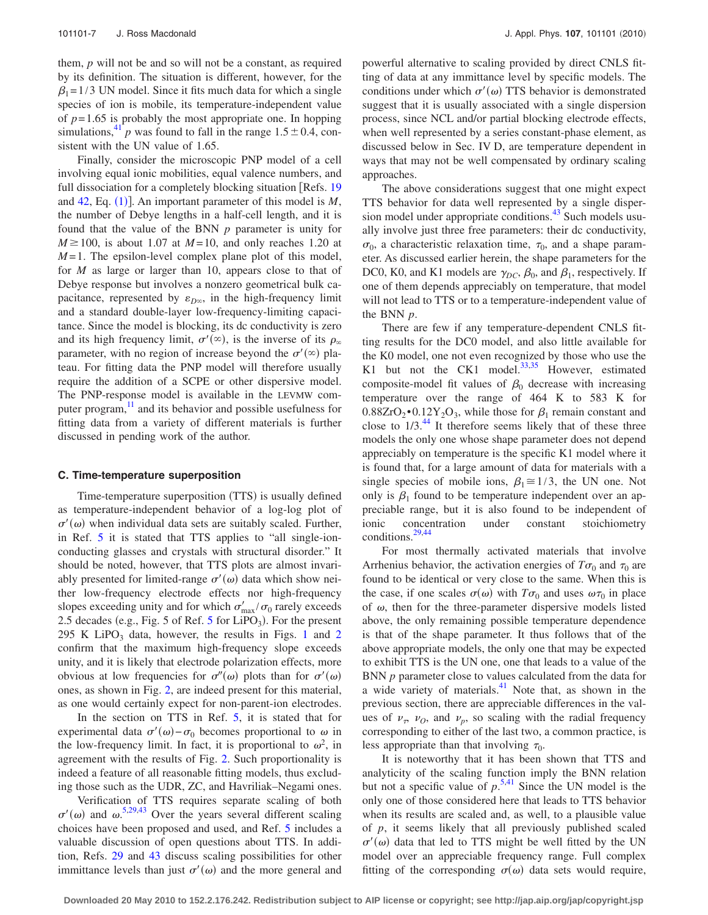them, *p* will not be and so will not be a constant, as required by its definition. The situation is different, however, for the  $\beta_1$ =1/3 UN model. Since it fits much data for which a single species of ion is mobile, its temperature-independent value of  $p=1.65$  is probably the most appropriate one. In hopping simulations,<sup>41</sup> *p* was found to fall in the range  $1.5 \pm 0.4$ , consistent with the UN value of 1.65.

Finally, consider the microscopic PNP model of a cell involving equal ionic mobilities, equal valence numbers, and full dissociation for a completely blocking situation [Refs. [19](#page-8-5)] and  $42$ , Eq.  $(1)$  $(1)$  $(1)$ ]. An important parameter of this model is  $M$ , the number of Debye lengths in a half-cell length, and it is found that the value of the BNN *p* parameter is unity for  $M \ge 100$ , is about 1.07 at  $M=10$ , and only reaches 1.20 at  $M=1$ . The epsilon-level complex plane plot of this model, for *M* as large or larger than 10, appears close to that of Debye response but involves a nonzero geometrical bulk capacitance, represented by  $\varepsilon_{D^\infty}$ , in the high-frequency limit and a standard double-layer low-frequency-limiting capacitance. Since the model is blocking, its dc conductivity is zero and its high frequency limit,  $\sigma'(\infty)$ , is the inverse of its  $\rho_{\infty}$ parameter, with no region of increase beyond the  $\sigma'(\infty)$  plateau. For fitting data the PNP model will therefore usually require the addition of a SCPE or other dispersive model. The PNP-response model is available in the LEVMW computer program, $\frac{11}{11}$  and its behavior and possible usefulness for fitting data from a variety of different materials is further discussed in pending work of the author.

#### **C. Time-temperature superposition**

Time-temperature superposition (TTS) is usually defined as temperature-independent behavior of a log-log plot of  $\sigma'(\omega)$  when individual data sets are suitably scaled. Further, in Ref. [5](#page-7-3) it is stated that TTS applies to "all single-ionconducting glasses and crystals with structural disorder." It should be noted, however, that TTS plots are almost invariably presented for limited-range  $\sigma'(\omega)$  data which show neither low-frequency electrode effects nor high-frequency slopes exceeding unity and for which  $\sigma'_{\text{max}} / \sigma_0$  rarely exceeds 2.[5](#page-7-3) decades (e.g., Fig. 5 of Ref.  $5$  for LiPO<sub>3</sub>). For the present 295 K LiPO<sub>3</sub> data, however, the results in Figs. [1](#page-1-1) and [2](#page-2-0) confirm that the maximum high-frequency slope exceeds unity, and it is likely that electrode polarization effects, more obvious at low frequencies for  $\sigma''(\omega)$  plots than for  $\sigma'(\omega)$ ones, as shown in Fig. [2,](#page-2-0) are indeed present for this material, as one would certainly expect for non-parent-ion electrodes.

In the section on TTS in Ref. [5,](#page-7-3) it is stated that for experimental data  $\sigma'(\omega) - \sigma_0$  becomes proportional to  $\omega$  in the low-frequency limit. In fact, it is proportional to  $\omega^2$ , in agreement with the results of Fig. [2.](#page-2-0) Such proportionality is indeed a feature of all reasonable fitting models, thus excluding those such as the UDR, ZC, and Havriliak–Negami ones.

Verification of TTS requires separate scaling of both  $\sigma'(\omega)$  and  $\omega$ <sup>[5](#page-7-3)[,29](#page-8-15)[,43](#page-8-29)</sup> Over the years several different scaling choices have been proposed and used, and Ref. [5](#page-7-3) includes a valuable discussion of open questions about TTS. In addition, Refs. [29](#page-8-15) and [43](#page-8-29) discuss scaling possibilities for other immittance levels than just  $\sigma'(\omega)$  and the more general and

powerful alternative to scaling provided by direct CNLS fitting of data at any immittance level by specific models. The conditions under which  $\sigma'(\omega)$  TTS behavior is demonstrated suggest that it is usually associated with a single dispersion process, since NCL and/or partial blocking electrode effects, when well represented by a series constant-phase element, as discussed below in Sec. IV D, are temperature dependent in ways that may not be well compensated by ordinary scaling approaches.

The above considerations suggest that one might expect TTS behavior for data well represented by a single dispersion model under appropriate conditions.<sup>43</sup> Such models usually involve just three free parameters: their dc conductivity,  $\sigma_0$ , a characteristic relaxation time,  $\tau_0$ , and a shape parameter. As discussed earlier herein, the shape parameters for the DC0, K0, and K1 models are  $\gamma_{DC}$ ,  $\beta_0$ , and  $\beta_1$ , respectively. If one of them depends appreciably on temperature, that model will not lead to TTS or to a temperature-independent value of the BNN *p*.

There are few if any temperature-dependent CNLS fitting results for the DC0 model, and also little available for the K0 model, one not even recognized by those who use the K1 but not the CK1 model. $33,35$  $33,35$  However, estimated composite-model fit values of  $\beta_0$  decrease with increasing temperature over the range of 464 K to 583 K for  $0.88ZrO<sub>2</sub> \cdot 0.12Y<sub>2</sub>O<sub>3</sub>$ , while those for  $\beta_1$  remain constant and close to  $1/3$ .<sup>44</sup> It therefore seems likely that of these three models the only one whose shape parameter does not depend appreciably on temperature is the specific K1 model where it is found that, for a large amount of data for materials with a single species of mobile ions,  $\beta_1 \cong 1/3$ , the UN one. Not only is  $\beta_1$  found to be temperature independent over an appreciable range, but it is also found to be independent of ionic concentration under constant stoichiometry conditions[.29,](#page-8-15)[44](#page-8-30)

For most thermally activated materials that involve Arrhenius behavior, the activation energies of  $T\sigma_0$  and  $\tau_0$  are found to be identical or very close to the same. When this is the case, if one scales  $\sigma(\omega)$  with  $T\sigma_0$  and uses  $\omega \tau_0$  in place of  $\omega$ , then for the three-parameter dispersive models listed above, the only remaining possible temperature dependence is that of the shape parameter. It thus follows that of the above appropriate models, the only one that may be expected to exhibit TTS is the UN one, one that leads to a value of the BNN *p* parameter close to values calculated from the data for a wide variety of materials.<sup>41</sup> Note that, as shown in the previous section, there are appreciable differences in the values of  $\nu_{\tau}$ ,  $\nu_{\theta}$ , and  $\nu_{p}$ , so scaling with the radial frequency corresponding to either of the last two, a common practice, is less appropriate than that involving  $\tau_0$ .

It is noteworthy that it has been shown that TTS and analyticity of the scaling function imply the BNN relation but not a specific value of  $p^{5,41}$  $p^{5,41}$  $p^{5,41}$  $p^{5,41}$ . Since the UN model is the only one of those considered here that leads to TTS behavior when its results are scaled and, as well, to a plausible value of *p*, it seems likely that all previously published scaled  $\sigma'(\omega)$  data that led to TTS might be well fitted by the UN model over an appreciable frequency range. Full complex fitting of the corresponding  $\sigma(\omega)$  data sets would require,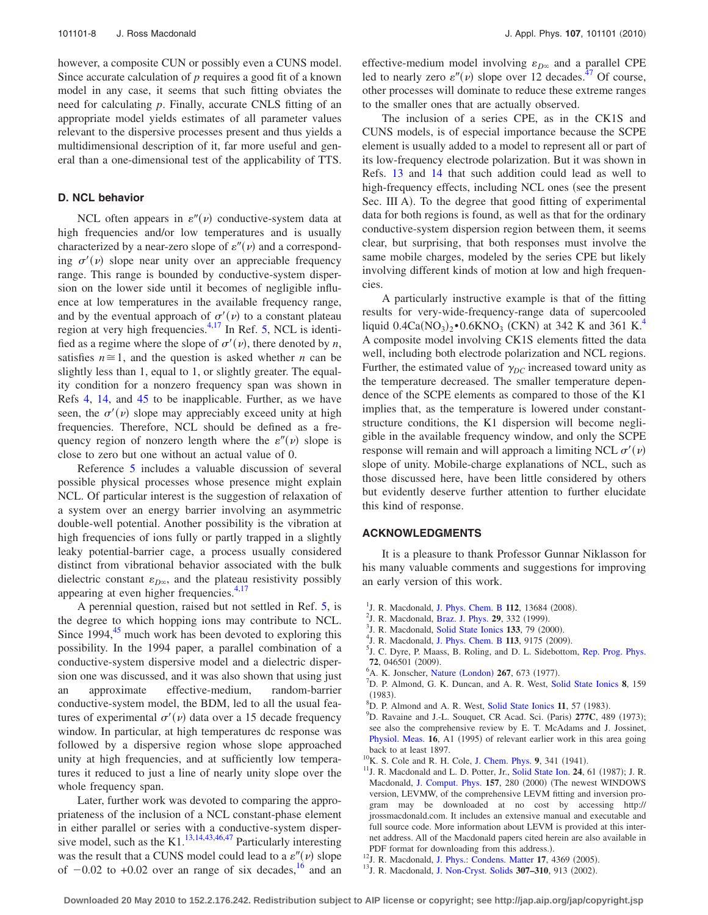however, a composite CUN or possibly even a CUNS model. Since accurate calculation of *p* requires a good fit of a known model in any case, it seems that such fitting obviates the need for calculating *p*. Finally, accurate CNLS fitting of an appropriate model yields estimates of all parameter values relevant to the dispersive processes present and thus yields a multidimensional description of it, far more useful and general than a one-dimensional test of the applicability of TTS.

## **D. NCL behavior**

NCL often appears in  $\varepsilon''(v)$  conductive-system data at high frequencies and/or low temperatures and is usually characterized by a near-zero slope of  $\varepsilon''(\nu)$  and a corresponding  $\sigma'(\nu)$  slope near unity over an appreciable frequency range. This range is bounded by conductive-system dispersion on the lower side until it becomes of negligible influence at low temperatures in the available frequency range, and by the eventual approach of  $\sigma'(v)$  to a constant plateau region at very high frequencies.<sup>4,[17](#page-8-3)</sup> In Ref. [5,](#page-7-3) NCL is identified as a regime where the slope of  $\sigma'(v)$ , there denoted by *n*, satisfies  $n \approx 1$ , and the question is asked whether *n* can be slightly less than 1, equal to 1, or slightly greater. The equality condition for a nonzero frequency span was shown in Refs [4,](#page-7-2) [14,](#page-8-0) and [45](#page-8-31) to be inapplicable. Further, as we have seen, the  $\sigma'(\nu)$  slope may appreciably exceed unity at high frequencies. Therefore, NCL should be defined as a frequency region of nonzero length where the  $\varepsilon''(\nu)$  slope is close to zero but one without an actual value of 0.

Reference [5](#page-7-3) includes a valuable discussion of several possible physical processes whose presence might explain NCL. Of particular interest is the suggestion of relaxation of a system over an energy barrier involving an asymmetric double-well potential. Another possibility is the vibration at high frequencies of ions fully or partly trapped in a slightly leaky potential-barrier cage, a process usually considered distinct from vibrational behavior associated with the bulk dielectric constant  $\varepsilon_{D\infty}$ , and the plateau resistivity possibly appearing at even higher frequencies.<sup>4[,17](#page-8-3)</sup>

A perennial question, raised but not settled in Ref. [5,](#page-7-3) is the degree to which hopping ions may contribute to NCL. Since  $1994$ ,  $45$  much work has been devoted to exploring this possibility. In the 1994 paper, a parallel combination of a conductive-system dispersive model and a dielectric dispersion one was discussed, and it was also shown that using just an approximate effective-medium, random-barrier conductive-system model, the BDM, led to all the usual features of experimental  $\sigma'(v)$  data over a 15 decade frequency window. In particular, at high temperatures dc response was followed by a dispersive region whose slope approached unity at high frequencies, and at sufficiently low temperatures it reduced to just a line of nearly unity slope over the whole frequency span.

Later, further work was devoted to comparing the appropriateness of the inclusion of a NCL constant-phase element in either parallel or series with a conductive-system disper-sive model, such as the K1.<sup>13,[14,](#page-8-0)[43](#page-8-29)[,46,](#page-8-32)[47](#page-8-33)</sup> Particularly interesting was the result that a CUNS model could lead to a  $\varepsilon''(v)$  slope of  $-0.02$  to  $+0.02$  over an range of six decades, <sup>16</sup> and an

effective-medium model involving  $\varepsilon_{D^\infty}$  and a parallel CPE led to nearly zero  $\varepsilon''(\nu)$  slope over 12 decades.<sup>47</sup> Of course, other processes will dominate to reduce these extreme ranges to the smaller ones that are actually observed.

The inclusion of a series CPE, as in the CK1S and CUNS models, is of especial importance because the SCPE element is usually added to a model to represent all or part of its low-frequency electrode polarization. But it was shown in Refs. [13](#page-7-11) and [14](#page-8-0) that such addition could lead as well to high-frequency effects, including NCL ones (see the present Sec. III A). To the degree that good fitting of experimental data for both regions is found, as well as that for the ordinary conductive-system dispersion region between them, it seems clear, but surprising, that both responses must involve the same mobile charges, modeled by the series CPE but likely involving different kinds of motion at low and high frequencies.

A particularly instructive example is that of the fitting results for very-wide-frequency-range data of supercooled liquid  $0.4Ca(NO_3)_2 \cdot 0.6KNO_3$  $0.4Ca(NO_3)_2 \cdot 0.6KNO_3$  $0.4Ca(NO_3)_2 \cdot 0.6KNO_3$  (CKN) at 342 K and 361 K.<sup>4</sup> A composite model involving CK1S elements fitted the data well, including both electrode polarization and NCL regions. Further, the estimated value of  $\gamma_{DC}$  increased toward unity as the temperature decreased. The smaller temperature dependence of the SCPE elements as compared to those of the K1 implies that, as the temperature is lowered under constantstructure conditions, the K1 dispersion will become negligible in the available frequency window, and only the SCPE response will remain and will approach a limiting NCL  $\sigma'(\nu)$ slope of unity. Mobile-charge explanations of NCL, such as those discussed here, have been little considered by others but evidently deserve further attention to further elucidate this kind of response.

#### **ACKNOWLEDGMENTS**

It is a pleasure to thank Professor Gunnar Niklasson for his many valuable comments and suggestions for improving an early version of this work.

- <span id="page-7-0"></span><sup>1</sup>J. R. Macdonald, [J. Phys. Chem. B](http://dx.doi.org/10.1021/jp805535w) 112, 13684 (2008).
- <sup>2</sup>J. R. Macdonald, [Braz. J. Phys.](http://dx.doi.org/10.1590/S0103-97331999000200014) **29**, 332 (1999).<br><sup>3</sup>J. P. Macdonald, Solid State Jonies 122, 70 (20)
- <span id="page-7-1"></span><sup>3</sup>J. R. Macdonald, [Solid State Ionics](http://dx.doi.org/10.1016/S0167-2738(00)00737-2) **133**, 79 (2000).<br><sup>4</sup>J. P. Macdonald, J. Phys. Cham. P. **113**, 0175 (2000).
- <span id="page-7-2"></span><sup>4</sup>J. R. Macdonald, [J. Phys. Chem. B](http://dx.doi.org/10.1021/jp9026095) 113, 9175 (2009).
- <span id="page-7-3"></span><sup>5</sup>J. C. Dyre, P. Maass, B. Roling, and D. L. Sidebottom, [Rep. Prog. Phys.](http://dx.doi.org/10.1088/0034-4885/72/4/046501) **72**, 046501 (2009).
- <span id="page-7-4"></span><sup>6</sup>A. K. Jonscher, Nature ([London](http://dx.doi.org/10.1038/267673a0)) **267**, 673 (1977).
- <span id="page-7-5"></span>D. P. Almond, G. K. Duncan, and A. R. West, [Solid State Ionics](http://dx.doi.org/10.1016/0167-2738(83)90079-6) **8**, 159  $^{(1983)}_{8}$ .
- <span id="page-7-6"></span> ${}^{8}D.$  P. Almond and A. R. West, [Solid State Ionics](http://dx.doi.org/10.1016/0167-2738(83)90063-2) 11, 57 (1983).
- <span id="page-7-7"></span>D. Ravaine and J.-L. Souquet, CR Acad. Sci. (Paris) 277C, 489 (1973); see also the comprehensive review by E. T. McAdams and J. Jossinet, [Physiol. Meas.](http://dx.doi.org/10.1088/0967-3334/16/3A/001) 16, A1 (1995) of relevant earlier work in this area going back to at least 1897.
- <sup>10</sup>K. S. Cole and R. H. Cole, [J. Chem. Phys.](http://dx.doi.org/10.1063/1.1750906) 9, 341 (1941).
- <span id="page-7-9"></span><span id="page-7-8"></span><sup>10</sup>K. S. Cole and R. H. Cole, J. Chem. Phys. 9, 341 (1941).<br><sup>11</sup>J. R. Macdonald and L. D. Potter, Jr., [Solid State Ion.](http://dx.doi.org/10.1016/0167-2738(87)90068-3) **24**, 61 (1987); J. R. Macdonald, [J. Comput. Phys.](http://dx.doi.org/10.1006/jcph.1999.6378) 157, 280 (2000) (The newest WINDOWS version, LEVMW, of the comprehensive LEVM fitting and inversion program may be downloaded at no cost by accessing http:// jrossmacdonald.com. It includes an extensive manual and executable and full source code. More information about LEVM is provided at this internet address. All of the Macdonald papers cited herein are also available in PDF format for downloading from this address.).
- <span id="page-7-10"></span><sup>12</sup>J. R. Macdonald, [J. Phys.: Condens. Matter](http://dx.doi.org/10.1088/0953-8984/17/27/012) 17, 4369 (2005).
- <span id="page-7-11"></span><sup>12</sup>J. R. Macdonald, J. Phys.: Condens. Matter 17, 4369 (2005).<br><sup>13</sup>J. R. Macdonald, [J. Non-Cryst. Solids](http://dx.doi.org/10.1016/S0022-3093(02)01545-4) **307–310**, 913 (2002).
- **Downloaded 20 May 2010 to 152.2.176.242. Redistribution subject to AIP license or copyright; see http://jap.aip.org/jap/copyright.jsp**